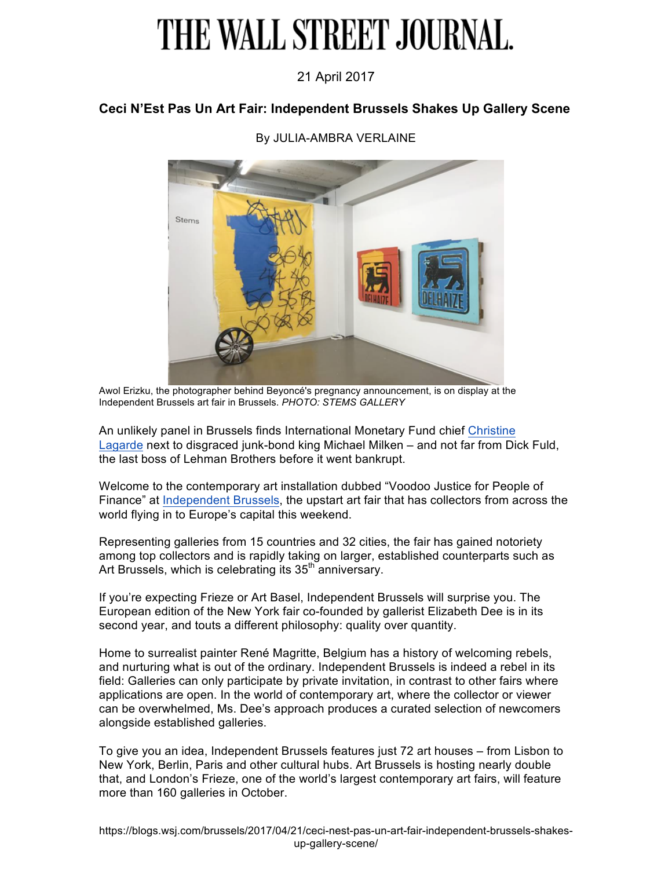# THE WALL STREET JOURNAL.

### 21 April 2017

#### **Ceci N'Est Pas Un Art Fair: Independent Brussels Shakes Up Gallery Scene**



#### By JULIA-AMBRA VERLAINE

Awol Erizku, the photographer behind Beyoncé's pregnancy announcement, is on display at the Independent Brussels art fair in Brussels. *PHOTO: STEMS GALLERY*

An unlikely panel in Brussels finds International Monetary Fund chief Christine Lagarde next to disgraced junk-bond king Michael Milken – and not far from Dick Fuld, the last boss of Lehman Brothers before it went bankrupt.

Welcome to the contemporary art installation dubbed "Voodoo Justice for People of Finance" at Independent Brussels, the upstart art fair that has collectors from across the world flying in to Europe's capital this weekend.

Representing galleries from 15 countries and 32 cities, the fair has gained notoriety among top collectors and is rapidly taking on larger, established counterparts such as Art Brussels, which is celebrating its  $35<sup>th</sup>$  anniversary.

If you're expecting Frieze or Art Basel, Independent Brussels will surprise you. The European edition of the New York fair co-founded by gallerist Elizabeth Dee is in its second year, and touts a different philosophy: quality over quantity.

Home to surrealist painter René Magritte, Belgium has a history of welcoming rebels, and nurturing what is out of the ordinary. Independent Brussels is indeed a rebel in its field: Galleries can only participate by private invitation, in contrast to other fairs where applications are open. In the world of contemporary art, where the collector or viewer can be overwhelmed, Ms. Dee's approach produces a curated selection of newcomers alongside established galleries.

To give you an idea, Independent Brussels features just 72 art houses – from Lisbon to New York, Berlin, Paris and other cultural hubs. Art Brussels is hosting nearly double that, and London's Frieze, one of the world's largest contemporary art fairs, will feature more than 160 galleries in October.